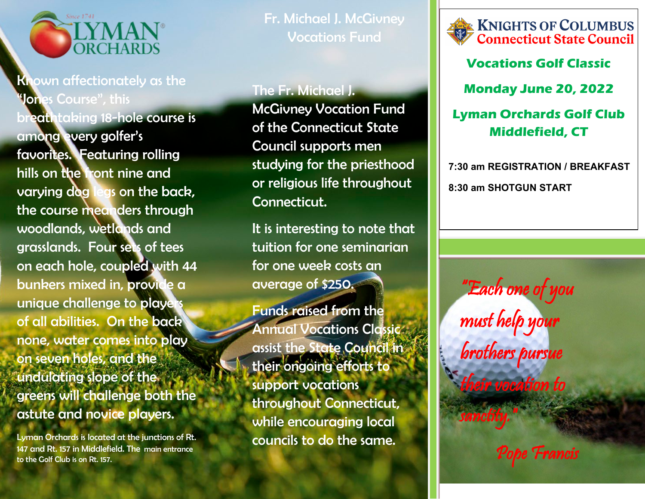

## Known affectionately as the **Jones Course", this**

breathtaking 18-hole course is among every golfer's favorites. Featuring rolling hills on the front nine and varying dog legs on the back, the course meanders through woodlands, wetlands and grasslands. Four sets of tees on each hole, coupled with 44 bunkers mixed in, provide a unique challenge to players of all abilities. On the back none, water comes into play on seven holes, and the undulating slope of the greens will challenge both the astute and novice players.

Lyman Orchards is located at the junctions of Rt. 147 and Rt. 157 in Middlefield. The main entrance to the Golf Club is on Rt. 157.

Fr. Michael J. McGivney Vocations Fund

## The Fr. Michael J.

McGivney Vocation Fund of the Connecticut State Council supports men studying for the priesthood or religious life throughout Connecticut.

It is interesting to note that tuition for one seminarian for one week costs an average of \$250.

Funds raised from the Annual Vocations Classic assist the State Council in their ongoing efforts to support vocations throughout Connecticut, while encouraging local councils to do the same.



**Vocations Golf Classic**

**Monday June 20, 2022**

## **Lyman Orchards Golf Club Middlefield, CT**

**7:30 am REGISTRATION / BREAKFAST 8:30 am SHOTGUN START**

"Each one of you must help your brothers pursue tocation to sanctity."

Pope Francis